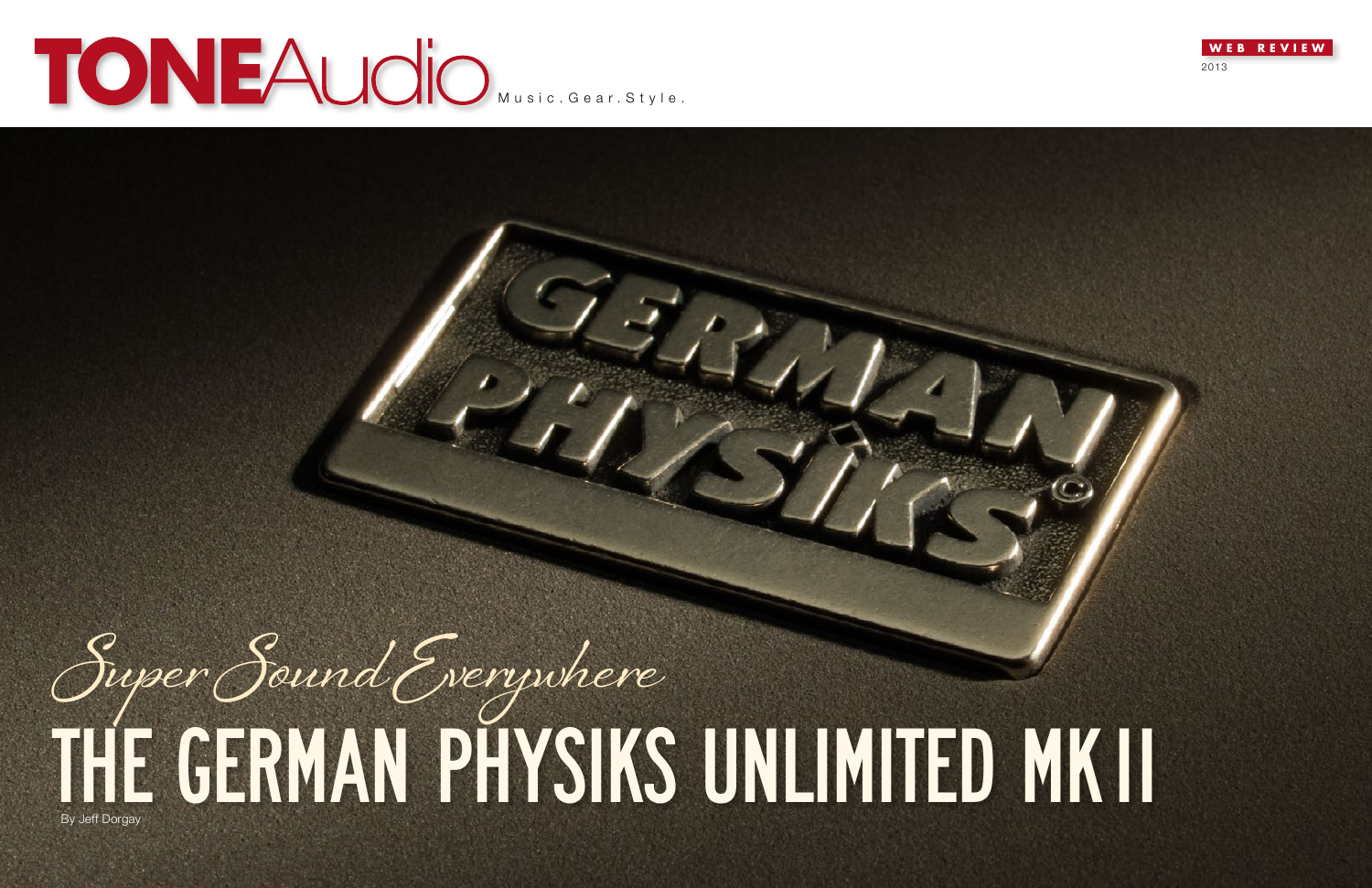



# **MUSIC MUSIC.Gear.Style.**

# THE GERMAN PHYSIKS UNLIMITED MKII **Super Sound Everywhere**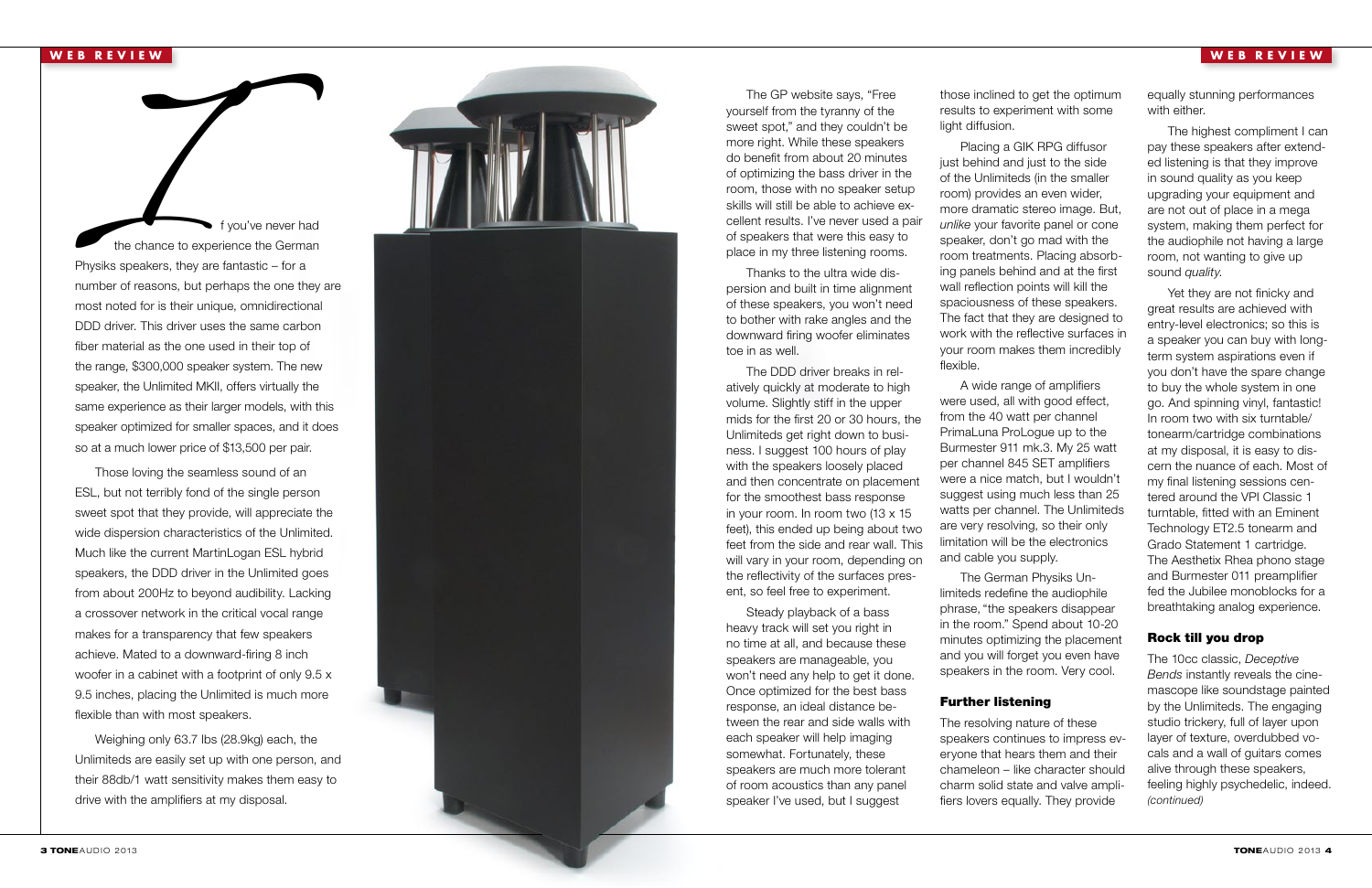those inclined to get the optimum results to experiment with some light diffusion.

Placing a GIK RPG diffusor just behind and just to the side of the Unlimiteds (in the smaller room) provides an even wider, more dramatic stereo image. But, *unlike* your favorite panel or cone speaker, don't go mad with the room treatments. Placing absorb ing panels behind and at the first wall reflection points will kill the spaciousness of these speakers. The fact that they are designed to work with the reflective surfaces in your room makes them incredibly flexible.

A wide range of amplifiers were used, all with good effect, from the 40 watt per channel PrimaLuna ProLogue up to the Burmester 911 mk.3. My 25 watt per channel 845 SET amplifiers were a nice match, but I wouldn't suggest using much less than 25 watts per channel. The Unlimiteds are very resolving, so their only limitation will be the electronics and cable you supply.

The German Physiks Un limiteds redefine the audiophile phrase, "the speakers disappear in the room." Spend about 10-20 minutes optimizing the placement and you will forget you even have speakers in the room. Very cool.

## Further listening

The resolving nature of these speakers continues to impress ev eryone that hears them and their chameleon – like character should charm solid state and valve ampli fiers lovers equally. They provide

The GP website says, "Free yourself from the tyranny of the sweet spot," and they couldn't be more right. While these speakers do benefit from about 20 minutes of optimizing the bass driver in the room, those with no speaker setup skills will still be able to achieve ex cellent results. I've never used a pair of speakers that were this easy to place in my three listening rooms.

IV f you've never had<br>
I f you've never had<br>
I f you've never had<br>
Physiks speakers, they are fantastic – for a<br>
I number of reasons, but perhaps the one they the chance to experience the German Physiks speakers, they are fantastic – for a number of reasons, but perhaps the one they are most noted for is their unique, omnidirectional DDD driver. This driver uses the same carbon fiber material as the one used in their top of the range, \$300,000 speaker system. The new speaker, the Unlimited MKII, offers virtually the same experience as their larger models, with this speaker optimized for smaller spaces, and it does so at a much lower price of \$13,500 per pair.

Thanks to the ultra wide dis persion and built in time alignment of these speakers, you won't need to bother with rake angles and the downward firing woofer eliminates toe in as well.

The DDD driver breaks in rel atively quickly at moderate to high volume. Slightly stiff in the upper mids for the first 20 or 30 hours, the Unlimiteds get right down to busi ness. I suggest 100 hours of play with the speakers loosely placed and then concentrate on placement for the smoothest bass response in your room. In room two (13 x 15 feet), this ended up being about two feet from the side and rear wall. This will vary in your room, depending on the reflectivity of the surfaces pres ent, so feel free to experiment.

Steady playback of a bass heavy track will set you right in no time at all, and because these speakers are manageable, you won't need any help to get it done. Once optimized for the best bass response, an ideal distance be tween the rear and side walls with each speaker will help imaging somewhat. Fortunately, these speakers are much more tolerant of room acoustics than any panel speaker I've used, but I suggest

Those loving the seamless sound of an ESL, but not terribly fond of the single person sweet spot that they provide, will appreciate the wide dispersion characteristics of the Unlimited. Much like the current MartinLogan ESL hybrid speakers, the DDD driver in the Unlimited goes from about 200Hz to beyond audibility. Lacking a crossover network in the critical vocal range makes for a transparency that few speakers achieve. Mated to a downward-firing 8 inch woofer in a cabinet with a footprint of only 9.5 x 9.5 inches, placing the Unlimited is much more flexible than with most speakers.

Weighing only 63.7 lbs (28.9kg) each, the Unlimiteds are easily set up with one person, and their 88db/1 watt sensitivity makes them easy to drive with the amplifiers at my disposal.

# **WEB REVIEW**



equally stunning performances with either.

The highest compliment I can pay these speakers after extend ed listening is that they improve in sound quality as you keep upgrading your equipment and are not out of place in a mega system, making them perfect for the audiophile not having a large room, not wanting to give up sound *quality*.

Yet they are not finicky and great results are achieved with entry-level electronics; so this is a speaker you can buy with longterm system aspirations even if you don't have the spare change to buy the whole system in one go. And spinning vinyl, fantastic! In room two with six turntable/ tonearm/cartridge combinations at my disposal, it is easy to dis cern the nuance of each. Most of my final listening sessions cen tered around the VPI Classic 1 turntable, fitted with an Eminent Technology ET2.5 tonearm and Grado Statement 1 cartridge. The Aesthetix Rhea phono stage and Burmester 011 preamplifier fed the Jubilee monoblocks for a breathtaking analog experience.

### Rock till you drop

The 10cc classic, *Deceptive Bends* instantly reveals the cine mascope like soundstage painted by the Unlimiteds. The engaging studio trickery, full of layer upon layer of texture, overdubbed vo cals and a wall of guitars comes alive through these speakers, feeling highly psychedelic, indeed. *(continued)*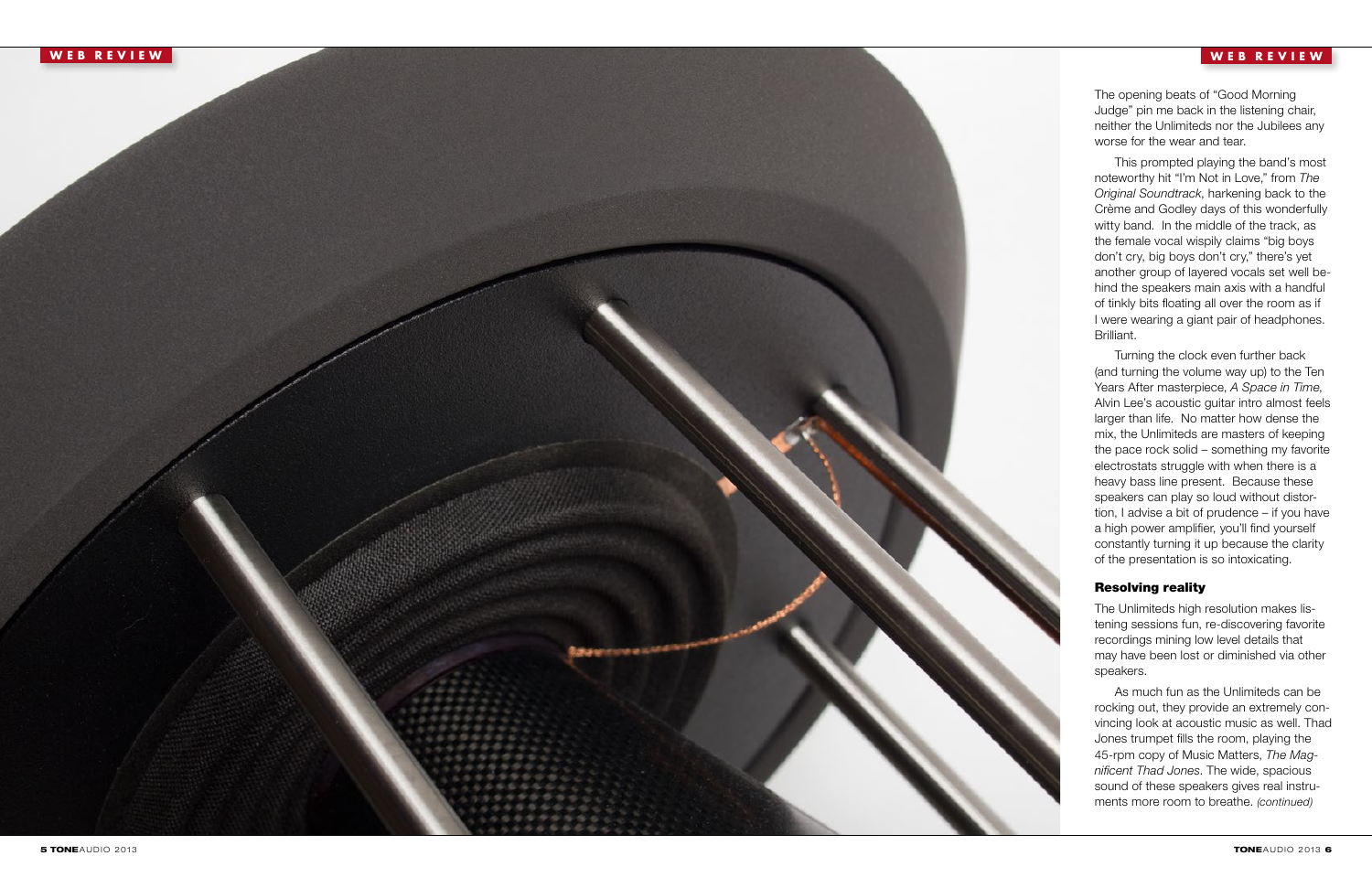

The opening beats of "Good Morning Judge" pin me back in the listening chair, neither the Unlimiteds nor the Jubilees any worse for the wear and tear.

This prompted playing the band's most noteworthy hit "I'm Not in Love," from *The Original Soundtrack*, harkening back to the Crème and Godley days of this wonderfully witty band. In the middle of the track, as the female vocal wispily claims "big boys don't cry, big boys don't cry," there's yet another group of layered vocals set well be hind the speakers main axis with a handful of tinkly bits floating all over the room as if I were wearing a giant pair of headphones. Brilliant.

Turning the clock even further back (and turning the volume way up) to the Ten Years After masterpiece, *A Space in Time*, Alvin Lee's acoustic guitar intro almost feels larger than life. No matter how dense the mix, the Unlimiteds are masters of keeping the pace rock solid – something my favorite electrostats struggle with when there is a heavy bass line present. Because these speakers can play so loud without distor tion, I advise a bit of prudence – if you have a high power amplifier, you'll find yourself constantly turning it up because the clarity of the presentation is so intoxicating.

## Resolving reality

استن هها هود

The Unlimiteds high resolution makes lis tening sessions fun, re-discovering favorite recordings mining low level details that may have been lost or diminished via other speakers.

As much fun as the Unlimiteds can be rocking out, they provide an extremely con vincing look at acoustic music as well. Thad Jones trumpet fills the room, playing the 45-rpm copy of Music Matters, *The Mag nificent Thad Jones*. The wide, spacious sound of these speakers gives real instru ments more room to breathe. *(continued)*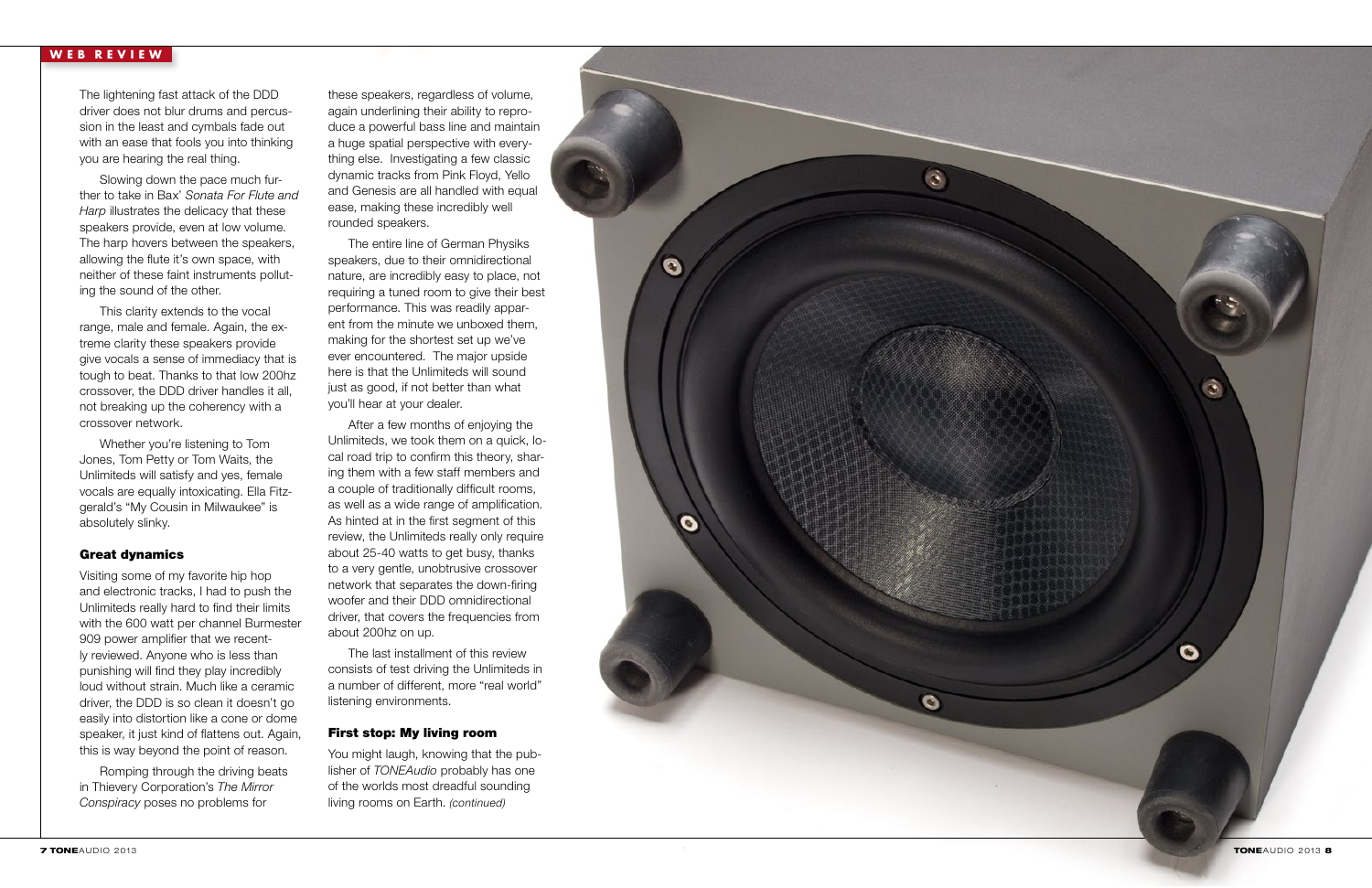### **WEB REVIEW**

The lightening fast attack of the DDD driver does not blur drums and percus sion in the least and cymbals fade out with an ease that fools you into thinking you are hearing the real thing.

Slowing down the pace much fur ther to take in Bax' *Sonata For Flute and Harp* illustrates the delicacy that these speakers provide, even at low volume. The harp hovers between the speakers, allowing the flute it's own space, with neither of these faint instruments pollut ing the sound of the other.

This clarity extends to the vocal range, male and female. Again, the ex treme clarity these speakers provide give vocals a sense of immediacy that is tough to beat. Thanks to that low 200hz crossover, the DDD driver handles it all, not breaking up the coherency with a crossover network.

Whether you're listening to Tom Jones, Tom Petty or Tom Waits, the Unlimiteds will satisfy and yes, female vocals are equally intoxicating. Ella Fitz gerald's "My Cousin in Milwaukee" is absolutely slinky.

### Great dynamics

Visiting some of my favorite hip hop and electronic tracks, I had to push the Unlimiteds really hard to find their limits with the 600 watt per channel Burmester 909 power amplifier that we recent ly reviewed. Anyone who is less than punishing will find they play incredibly loud without strain. Much like a ceramic driver, the DDD is so clean it doesn't go easily into distortion like a cone or dome speaker, it just kind of flattens out. Again, this is way beyond the point of reason.

Romping through the driving beats in Thievery Corporation's *The Mirror Conspiracy* poses no problems for

You might laugh, knowing that the publisher of *TONEAudio* probably has one of the worlds most dreadful sounding living rooms on Earth. *(continued)* 

**TONEAUDIO 2013 8** 

 $\tilde{\bm{c}}$ 

 $\ddot{\circ}$ 

G

these speakers, regardless of volume, again underlining their ability to repro duce a powerful bass line and maintain a huge spatial perspective with every thing else. Investigating a few classic dynamic tracks from Pink Floyd, Yello and Genesis are all handled with equal ease, making these incredibly well rounded speakers.

The entire line of German Physiks speakers, due to their omnidirectional nature, are incredibly easy to place, not requiring a tuned room to give their best performance. This was readily appar ent from the minute we unboxed them, making for the shortest set up we've ever encountered. The major upside here is that the Unlimiteds will sound just as good, if not better than what you'll hear at your dealer.

After a few months of enjoying the Unlimiteds, we took them on a quick, lo cal road trip to confirm this theory, shar ing them with a few staff members and a couple of traditionally difficult rooms, as well as a wide range of amplification. As hinted at in the first segment of this review, the Unlimiteds really only require about 25-40 watts to get busy, thanks to a very gentle, unobtrusive crossover network that separates the down-firing woofer and their DDD omnidirectional driver, that covers the frequencies from about 200hz on up.

The last installment of this review consists of test driving the Unlimiteds in a number of different, more "real world" listening environments.

### First stop: My living room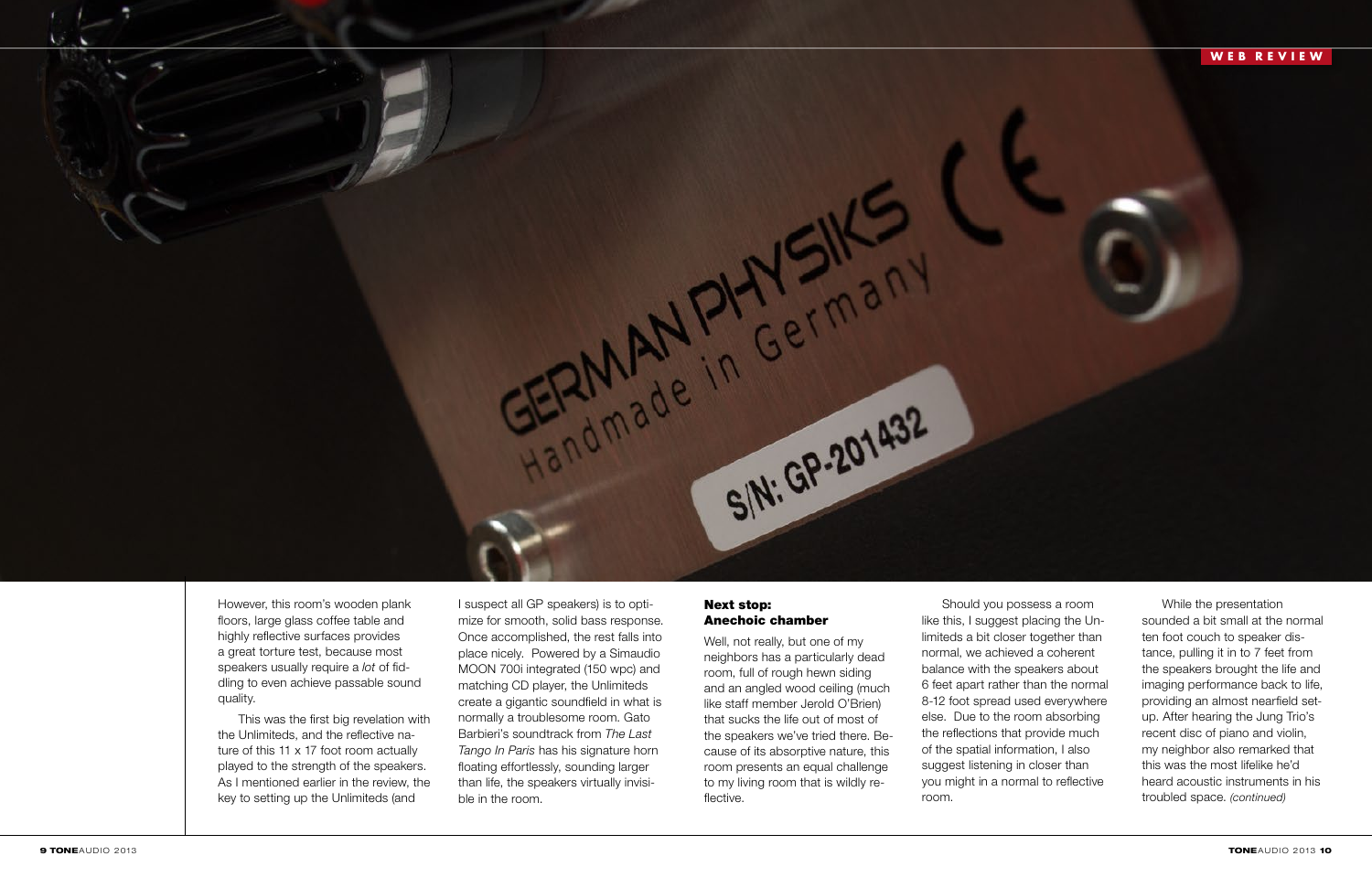### **WEB REVIEW**



However, this room's wooden plank floors, large glass coffee table and highly reflective surfaces provides a great torture test, because most speakers usually require a *lot* of fiddling to even achieve passable sound quality.

This was the first big revelation with the Unlimiteds, and the reflective nature of this 11 x 17 foot room actually played to the strength of the speakers. As I mentioned earlier in the review, the key to setting up the Unlimiteds (and

I suspect all GP speakers) is to optimize for smooth, solid bass response. Once accomplished, the rest falls into place nicely. Powered by a Simaudio MOON 700i integrated (150 wpc) and matching CD player, the Unlimiteds create a gigantic soundfield in what is normally a troublesome room. Gato Barbieri's soundtrack from *The Last Tango In Paris* has his signature horn floating effortlessly, sounding larger than life, the speakers virtually invisible in the room.

### Next stop: Anechoic chamber

Well, not really, but one of my neighbors has a particularly dead room, full of rough hewn siding and an angled wood ceiling (much like staff member Jerold O'Brien) that sucks the life out of most of the speakers we've tried there. Because of its absorptive nature, this room presents an equal challenge to my living room that is wildly reflective.



of the spatial information, I also suggest listening in closer than room.

While the presentation sounded a bit small at the normal ten foot couch to speaker distance, pulling it in to 7 feet from the speakers brought the life and imaging performance back to life, providing an almost nearfield setup. After hearing the Jung Trio's recent disc of piano and violin, my neighbor also remarked that this was the most lifelike he'd heard acoustic instruments in his troubled space. *(continued)*